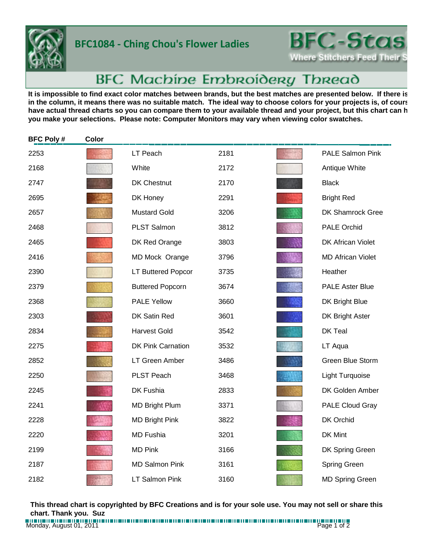

## **BFC1084 - Ching Chou's Flower Ladies**



## BFC Machine Embroidery Thread

It is impossible to find exact color matches between brands, but the best matches are presented below. If there is in the column, it means there was no suitable match. The ideal way to choose colors for your projects is, of cours have actual thread charts so you can compare them to your available thread and your project, but this chart can h **you make your selections. Please note: Computer Monitors may vary when viewing color swatches.**

| <b>BFC Poly#</b> | Color |                          |      |                          |
|------------------|-------|--------------------------|------|--------------------------|
| 2253             |       | LT Peach                 | 2181 | <b>PALE Salmon Pink</b>  |
| 2168             |       | White                    | 2172 | Antique White            |
| 2747             |       | <b>DK Chestnut</b>       | 2170 | <b>Black</b>             |
| 2695             |       | DK Honey                 | 2291 | <b>Bright Red</b>        |
| 2657             |       | <b>Mustard Gold</b>      | 3206 | DK Shamrock Gree         |
| 2468             |       | PLST Salmon              | 3812 | <b>PALE Orchid</b>       |
| 2465             |       | DK Red Orange            | 3803 | <b>DK African Violet</b> |
| 2416             |       | MD Mock Orange           | 3796 | <b>MD African Violet</b> |
| 2390             |       | LT Buttered Popcor       | 3735 | Heather                  |
| 2379             |       | <b>Buttered Popcorn</b>  | 3674 | <b>PALE Aster Blue</b>   |
| 2368             |       | <b>PALE Yellow</b>       | 3660 | DK Bright Blue           |
| 2303             |       | DK Satin Red             | 3601 | DK Bright Aster          |
| 2834             |       | <b>Harvest Gold</b>      | 3542 | DK Teal                  |
| 2275             |       | <b>DK Pink Carnation</b> | 3532 | LT Aqua                  |
| 2852             |       | LT Green Amber           | 3486 | Green Blue Storm         |
| 2250             |       | PLST Peach               | 3468 | Light Turquoise          |
| 2245             |       | DK Fushia                | 2833 | DK Golden Amber          |
| 2241             |       | <b>MD Bright Plum</b>    | 3371 | PALE Cloud Gray          |
| 2228             |       | <b>MD Bright Pink</b>    | 3822 | DK Orchid                |
| 2220             |       | <b>MD Fushia</b>         | 3201 | DK Mint                  |
| 2199             |       | <b>MD Pink</b>           | 3166 | DK Spring Green          |
| 2187             |       | <b>MD Salmon Pink</b>    | 3161 | Spring Green             |
| 2182             |       | <b>LT Salmon Pink</b>    | 3160 | <b>MD Spring Green</b>   |

**This thread chart is copyrighted by BFC Creations and is for your sole use. You may not sell or share this chart. Thank you. Suz**